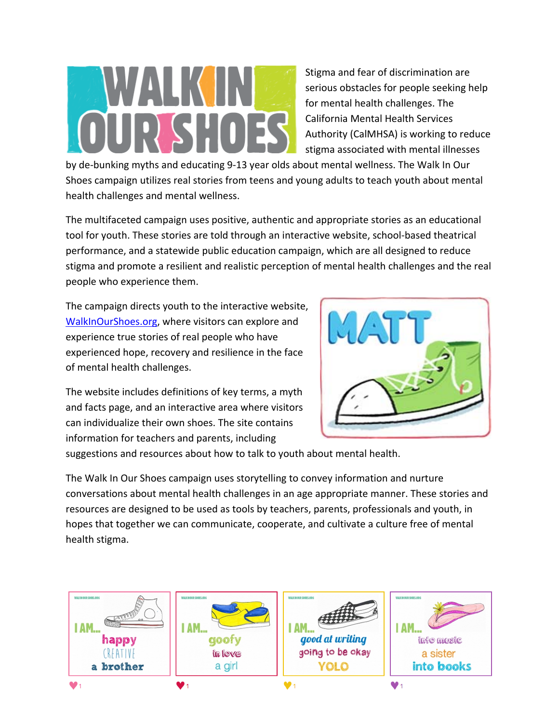Stigma and fear of discrimination are serious obstacles for people seeking help for mental health challenges. The California Mental Health Services Authority (CalMHSA) is working to reduce stigma associated with mental illnesses

by de‐bunking myths and educating 9‐13 year olds about mental wellness. The Walk In Our Shoes campaign utilizes real stories from teens and young adults to teach youth about mental health challenges and mental wellness.

The multifaceted campaign uses positive, authentic and appropriate stories as an educational tool for youth. These stories are told through an interactive website, school-based theatrical performance, and a statewide public education campaign, which are all designed to reduce stigma and promote a resilient and realistic perception of mental health challenges and the real people who experience them.

The campaign directs youth to the interactive website, WalkInOurShoes.org, where visitors can explore and experience true stories of real people who have experienced hope, recovery and resilience in the face of mental health challenges.

The website includes definitions of key terms, a myth and facts page, and an interactive area where visitors can individualize their own shoes. The site contains information for teachers and parents, including



suggestions and resources about how to talk to youth about mental health.

The Walk In Our Shoes campaign uses storytelling to convey information and nurture conversations about mental health challenges in an age appropriate manner. These stories and resources are designed to be used as tools by teachers, parents, professionals and youth, in hopes that together we can communicate, cooperate, and cultivate a culture free of mental health stigma.